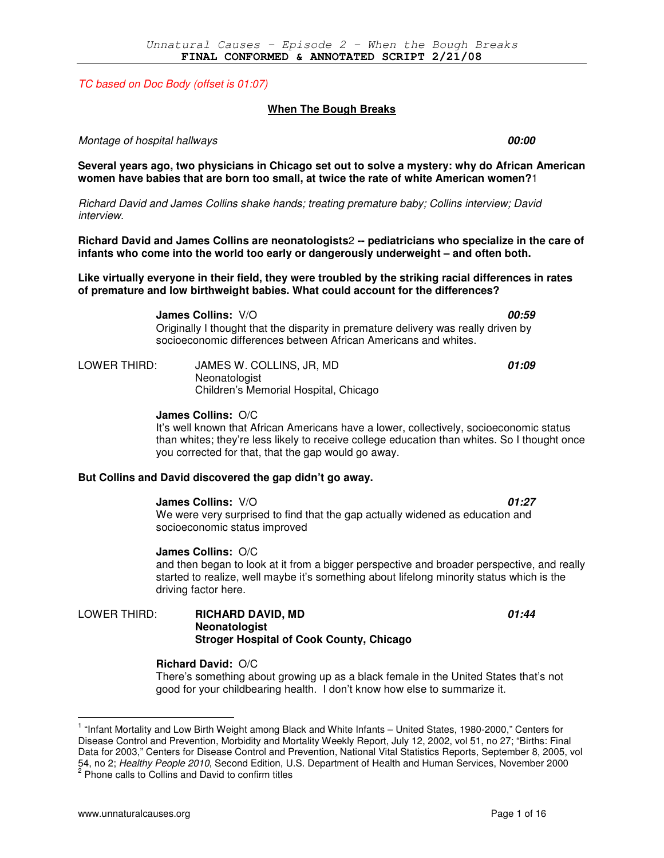TC based on Doc Body (offset is 01:07)

#### **When The Bough Breaks**

**Several years ago, two physicians in Chicago set out to solve a mystery: why do African American women have babies that are born too small, at twice the rate of white American women?**1

Montage of hospital hallways **00:00** 

Richard David and James Collins shake hands; treating premature baby; Collins interview; David interview.

**Richard David and James Collins are neonatologists**2 **-- pediatricians who specialize in the care of infants who come into the world too early or dangerously underweight – and often both.** 

**Like virtually everyone in their field, they were troubled by the striking racial differences in rates of premature and low birthweight babies. What could account for the differences?** 

> **James Collins:** V/O **00:59** Originally I thought that the disparity in premature delivery was really driven by socioeconomic differences between African Americans and whites.

LOWER THIRD: JAMES W. COLLINS, JR, MD **01:09** Neonatologist Children's Memorial Hospital, Chicago

#### **James Collins:** O/C

It's well known that African Americans have a lower, collectively, socioeconomic status than whites; they're less likely to receive college education than whites. So I thought once you corrected for that, that the gap would go away.

#### **But Collins and David discovered the gap didn't go away.**

#### **James Collins:** V/O **01:27**

We were very surprised to find that the gap actually widened as education and socioeconomic status improved

**James Collins:** O/C and then began to look at it from a bigger perspective and broader perspective, and really started to realize, well maybe it's something about lifelong minority status which is the driving factor here.

LOWER THIRD: **RICHARD DAVID, MD 01:44 Neonatologist Stroger Hospital of Cook County, Chicago** 

#### **Richard David:** O/C

There's something about growing up as a black female in the United States that's not good for your childbearing health. I don't know how else to summarize it.

<sup>&</sup>lt;sup>1</sup> "Infant Mortality and Low Birth Weight among Black and White Infants - United States, 1980-2000," Centers for Disease Control and Prevention, Morbidity and Mortality Weekly Report, July 12, 2002, vol 51, no 27; "Births: Final Data for 2003," Centers for Disease Control and Prevention, National Vital Statistics Reports, September 8, 2005, vol 54, no 2; *Healthy People 2010*, Second Edition, U.S. Department of Health and Human Services, November 2000<br><sup>2</sup> Phone calls to Collins and David to confirm titles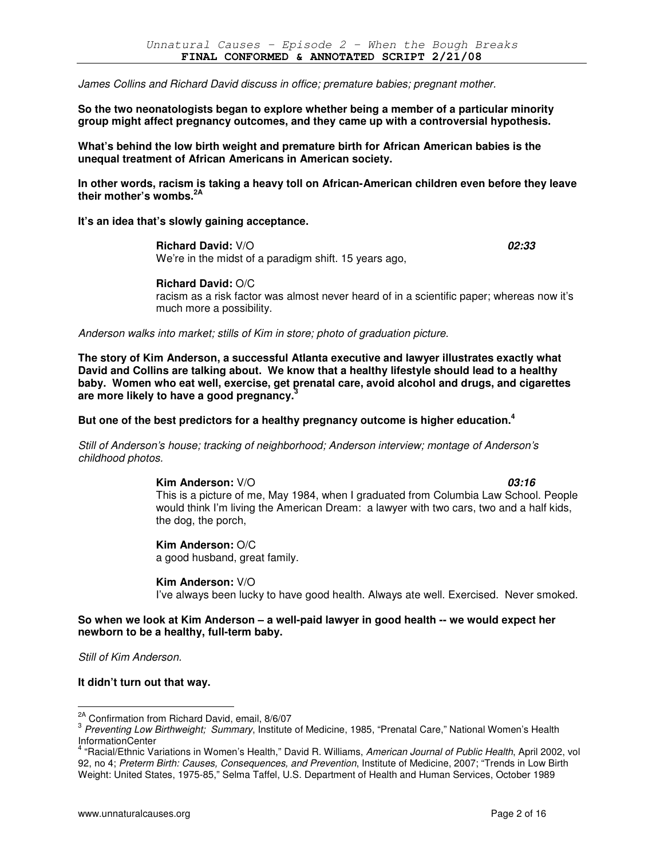James Collins and Richard David discuss in office; premature babies; pregnant mother.

**So the two neonatologists began to explore whether being a member of a particular minority group might affect pregnancy outcomes, and they came up with a controversial hypothesis.** 

**What's behind the low birth weight and premature birth for African American babies is the unequal treatment of African Americans in American society.** 

**In other words, racism is taking a heavy toll on African-American children even before they leave**  their mother's wombs.<sup>2</sup>

**It's an idea that's slowly gaining acceptance.** 

**Richard David:** V/O **02:33** We're in the midst of a paradigm shift. 15 years ago,

**Richard David:** O/C

racism as a risk factor was almost never heard of in a scientific paper; whereas now it's much more a possibility.

Anderson walks into market; stills of Kim in store; photo of graduation picture.

**The story of Kim Anderson, a successful Atlanta executive and lawyer illustrates exactly what David and Collins are talking about. We know that a healthy lifestyle should lead to a healthy baby. Women who eat well, exercise, get prenatal care, avoid alcohol and drugs, and cigarettes are more likely to have a good pregnancy.<sup>3</sup>**

**But one of the best predictors for a healthy pregnancy outcome is higher education.<sup>4</sup>**

Still of Anderson's house; tracking of neighborhood; Anderson interview; montage of Anderson's childhood photos.

> **Kim Anderson:** V/O **03:16** This is a picture of me, May 1984, when I graduated from Columbia Law School. People would think I'm living the American Dream: a lawyer with two cars, two and a half kids, the dog, the porch,

**Kim Anderson:** O/C a good husband, great family.

**Kim Anderson:** V/O I've always been lucky to have good health. Always ate well. Exercised. Never smoked.

## **So when we look at Kim Anderson – a well-paid lawyer in good health -- we would expect her newborn to be a healthy, full-term baby.**

Still of Kim Anderson.

 $\overline{a}$ 

**It didn't turn out that way.** 

<sup>&</sup>lt;sup>2A</sup> Confirmation from Richard David, email, 8/6/07

<sup>&</sup>lt;sup>3</sup> Preventing Low Birthweight; Summary, Institute of Medicine, 1985, "Prenatal Care," National Women's Health

InformationCenter<br><sup>4</sup> "Racial/Ethnic Variations in Women's Health," David R. Williams, *American Journal of Public Health*, April 2002, vol 92, no 4; Preterm Birth: Causes, Consequences, and Prevention, Institute of Medicine, 2007; "Trends in Low Birth Weight: United States, 1975-85," Selma Taffel, U.S. Department of Health and Human Services, October 1989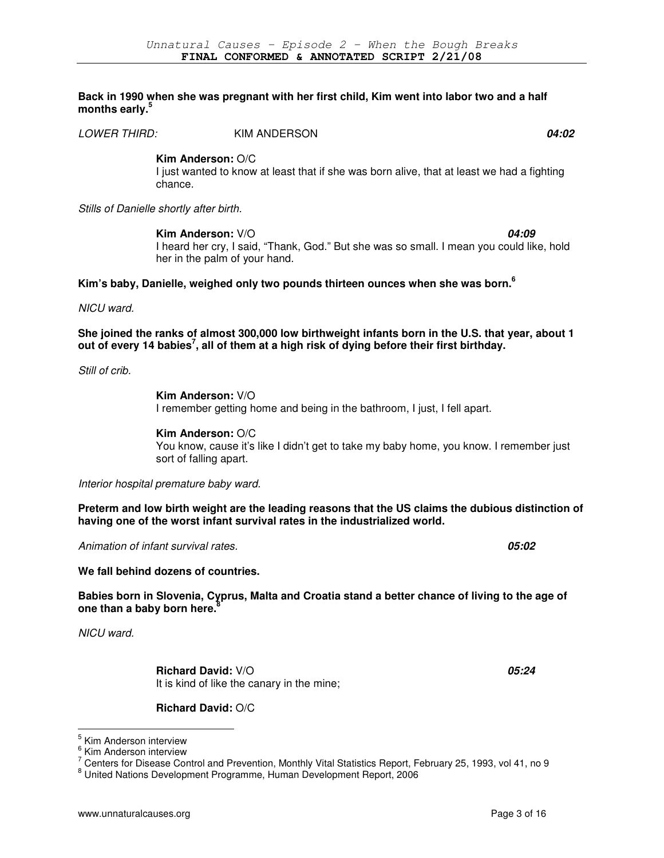### **Back in 1990 when she was pregnant with her first child, Kim went into labor two and a half months early.<sup>5</sup>**

LOWER THIRD:KIM ANDERSON **04:02**

**Kim Anderson:** O/C

I just wanted to know at least that if she was born alive, that at least we had a fighting chance.

Stills of Danielle shortly after birth.

**Kim Anderson:**  $V/O$  **04:09** I heard her cry, I said, "Thank, God." But she was so small. I mean you could like, hold her in the palm of your hand.

## **Kim's baby, Danielle, weighed only two pounds thirteen ounces when she was born.<sup>6</sup>**

NICU ward.

**She joined the ranks of almost 300,000 low birthweight infants born in the U.S. that year, about 1 out of every 14 babies<sup>7</sup> , all of them at a high risk of dying before their first birthday.** 

Still of crib.

**Kim Anderson:** V/O I remember getting home and being in the bathroom, I just, I fell apart.

**Kim Anderson:** O/C You know, cause it's like I didn't get to take my baby home, you know. I remember just sort of falling apart.

Interior hospital premature baby ward.

**Preterm and low birth weight are the leading reasons that the US claims the dubious distinction of having one of the worst infant survival rates in the industrialized world.** 

Animation of infant survival rates. **05:02**

**We fall behind dozens of countries.** 

**Babies born in Slovenia, Cyprus, Malta and Croatia stand a better chance of living to the age of one than a baby born here.<sup>8</sup>**

NICU ward.

 $\overline{a}$ 

**Richard David:** V/O **05:24** It is kind of like the canary in the mine;

**Richard David:** O/C

<sup>&</sup>lt;sup>5</sup> Kim Anderson interview

<sup>&</sup>lt;sup>6</sup> Kim Anderson interview

 $^7$  Centers for Disease Control and Prevention, Monthly Vital Statistics Report, February 25, 1993, vol 41, no 9

<sup>8</sup> United Nations Development Programme, Human Development Report, 2006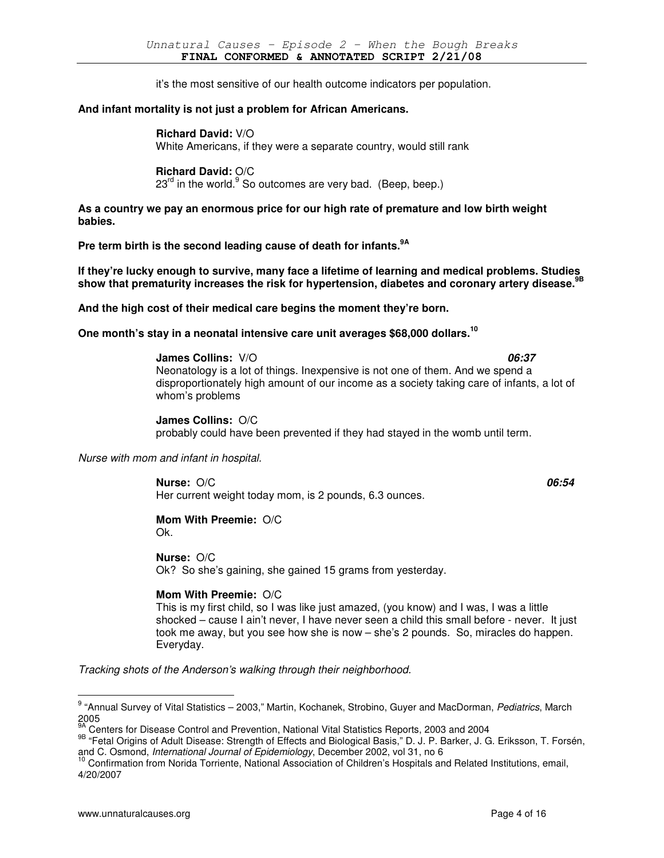it's the most sensitive of our health outcome indicators per population.

## **And infant mortality is not just a problem for African Americans.**

#### **Richard David:** V/O

White Americans, if they were a separate country, would still rank

## **Richard David:** O/C

23<sup>rd</sup> in the world. So outcomes are very bad. (Beep, beep.)

**As a country we pay an enormous price for our high rate of premature and low birth weight babies.** 

**Pre term birth is the second leading cause of death for infants.9A**

**If they're lucky enough to survive, many face a lifetime of learning and medical problems. Studies show that prematurity increases the risk for hypertension, diabetes and coronary artery disease.9B**

**And the high cost of their medical care begins the moment they're born.** 

## **One month's stay in a neonatal intensive care unit averages \$68,000 dollars.<sup>10</sup>**

## **James Collins:** V/O **06:37**

Neonatology is a lot of things. Inexpensive is not one of them. And we spend a disproportionately high amount of our income as a society taking care of infants, a lot of whom's problems

**James Collins:** O/C probably could have been prevented if they had stayed in the womb until term.

## Nurse with mom and infant in hospital.

**Nurse:** O/C **06:54** Her current weight today mom, is 2 pounds, 6.3 ounces.

#### **Mom With Preemie:** O/C Ok.

# **Nurse:** O/C

Ok? So she's gaining, she gained 15 grams from yesterday.

## **Mom With Preemie:** O/C

This is my first child, so I was like just amazed, (you know) and I was, I was a little shocked – cause I ain't never, I have never seen a child this small before - never. It just took me away, but you see how she is now – she's 2 pounds. So, miracles do happen. Everyday.

Tracking shots of the Anderson's walking through their neighborhood.

<sup>&</sup>lt;sup>9</sup> "Annual Survey of Vital Statistics – 2003," Martin, Kochanek, Strobino, Guyer and MacDorman, Pediatrics, March 2005

<sup>9</sup>A Centers for Disease Control and Prevention, National Vital Statistics Reports, 2003 and 2004

<sup>9</sup>B "Fetal Origins of Adult Disease: Strength of Effects and Biological Basis," D. J. P. Barker, J. G. Eriksson, T. Forsén, and C. Osmond, International Journal of Epidemiology, December 2002, vol 31, no 6

<sup>&</sup>lt;sup>10</sup> Confirmation from Norida Torriente, National Association of Children's Hospitals and Related Institutions, email, 4/20/2007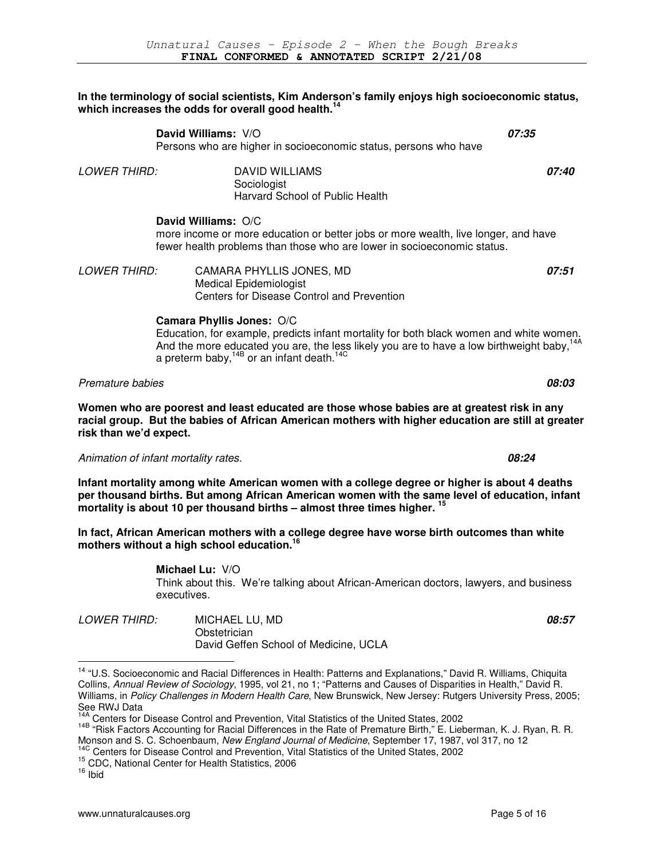## **In the terminology of social scientists, Kim Anderson's family enjoys high socioeconomic status, which increases the odds for overall good health.<sup>14</sup>**

|                        | David Williams: V/O                                                                                                                                                                                                                                                                                | 07:35 |
|------------------------|----------------------------------------------------------------------------------------------------------------------------------------------------------------------------------------------------------------------------------------------------------------------------------------------------|-------|
|                        | Persons who are higher in socioeconomic status, persons who have                                                                                                                                                                                                                                   |       |
| <b>LOWER THIRD:</b>    | <b>DAVID WILLIAMS</b><br>Sociologist<br>Harvard School of Public Health                                                                                                                                                                                                                            | 07:40 |
|                        | David Williams: O/C<br>more income or more education or better jobs or more wealth, live longer, and have<br>fewer health problems than those who are lower in socioeconomic status.                                                                                                               |       |
| <b>LOWER THIRD:</b>    | CAMARA PHYLLIS JONES, MD<br><b>Medical Epidemiologist</b><br>Centers for Disease Control and Prevention                                                                                                                                                                                            | 07:51 |
|                        | Camara Phyllis Jones: O/C<br>Education, for example, predicts infant mortality for both black women and white women.<br>And the more educated you are, the less likely you are to have a low birthweight baby, <sup>14A</sup><br>a preterm baby, <sup>14B</sup> or an infant death. <sup>14C</sup> |       |
| Premature babies       |                                                                                                                                                                                                                                                                                                    | 08:03 |
| risk than we'd expect. | Women who are poorest and least educated are those whose babies are at greatest risk in any<br>racial group. But the babies of African American mothers with higher education are still at greater                                                                                                 |       |
|                        | Animation of infant mortality rates.                                                                                                                                                                                                                                                               | 08:24 |
|                        | Infant mortality among white American women with a college degree or higher is about 4 deaths<br>per thousand births. But among African American women with the same level of education, infant<br>mortality is about 10 per thousand births – almost three times higher. <sup>15</sup>            |       |
|                        | In fact, African American mothers with a college degree have worse birth outcomes than white<br>mothers without a high school education. <sup>16</sup>                                                                                                                                             |       |
|                        | Michael Lu: V/O<br>Think about this. We're talking about African-American doctors, lawyers, and business<br>executives.                                                                                                                                                                            |       |

| <i>LOWER THIRD:</i> | MICHAEL LU, MD                        | 08:57 |
|---------------------|---------------------------------------|-------|
|                     | Obstetrician                          |       |
|                     | David Geffen School of Medicine, UCLA |       |

<sup>&</sup>lt;sup>14</sup> "U.S. Socioeconomic and Racial Differences in Health: Patterns and Explanations," David R. Williams, Chiquita Collins, Annual Review of Sociology, 1995, vol 21, no 1; "Patterns and Causes of Disparities in Health," David R. Williams, in Policy Challenges in Modern Health Care, New Brunswick, New Jersey: Rutgers University Press, 2005; See RWJ Data

<sup>14C</sup> Centers for Disease Control and Prevention, Vital Statistics of the United States, 2002

<sup>&</sup>lt;sup>1</sup> Centers for Disease Control and Prevention, Vital Statistics of the United States, 2002

<sup>14</sup>B "Risk Factors Accounting for Racial Differences in the Rate of Premature Birth," E. Lieberman, K. J. Ryan, R. R. Monson and S. C. Schoenbaum, New England Journal of Medicine, September 17, 1987, vol 317, no 12

<sup>15</sup> CDC, National Center for Health Statistics, 2006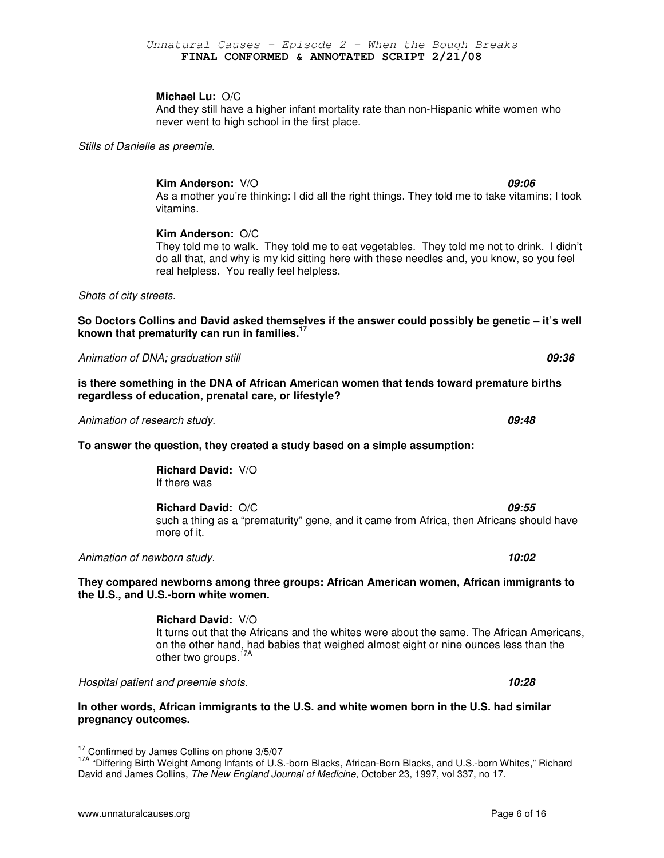## **Michael Lu:** O/C

And they still have a higher infant mortality rate than non-Hispanic white women who never went to high school in the first place.

Stills of Danielle as preemie.

**Kim Anderson:** V/O **09:06** As a mother you're thinking: I did all the right things. They told me to take vitamins; I took vitamins.

## **Kim Anderson:** O/C

They told me to walk. They told me to eat vegetables. They told me not to drink. I didn't do all that, and why is my kid sitting here with these needles and, you know, so you feel real helpless. You really feel helpless.

Shots of city streets.

**So Doctors Collins and David asked themselves if the answer could possibly be genetic – it's well known that prematurity can run in families.<sup>17</sup>**

Animation of DNA; graduation still **09:36**

**is there something in the DNA of African American women that tends toward premature births regardless of education, prenatal care, or lifestyle?** 

Animation of research study. **09:48**

## **To answer the question, they created a study based on a simple assumption:**

**Richard David:** V/O If there was

**Richard David:** O/C **09:55**

such a thing as a "prematurity" gene, and it came from Africa, then Africans should have more of it.

Animation of newborn study. **10:02**

**They compared newborns among three groups: African American women, African immigrants to the U.S., and U.S.-born white women.** 

## **Richard David:** V/O

It turns out that the Africans and the whites were about the same. The African Americans, on the other hand, had babies that weighed almost eight or nine ounces less than the other two groups.<sup>17A</sup>

Hospital patient and preemie shots. **10:28**

**In other words, African immigrants to the U.S. and white women born in the U.S. had similar pregnancy outcomes.** 

<sup>&</sup>lt;sup>17</sup> Confirmed by James Collins on phone 3/5/07

<sup>&</sup>lt;sup>17A</sup> "Differing Birth Weight Among Infants of U.S.-born Blacks, African-Born Blacks, and U.S.-born Whites," Richard David and James Collins, The New England Journal of Medicine, October 23, 1997, vol 337, no 17.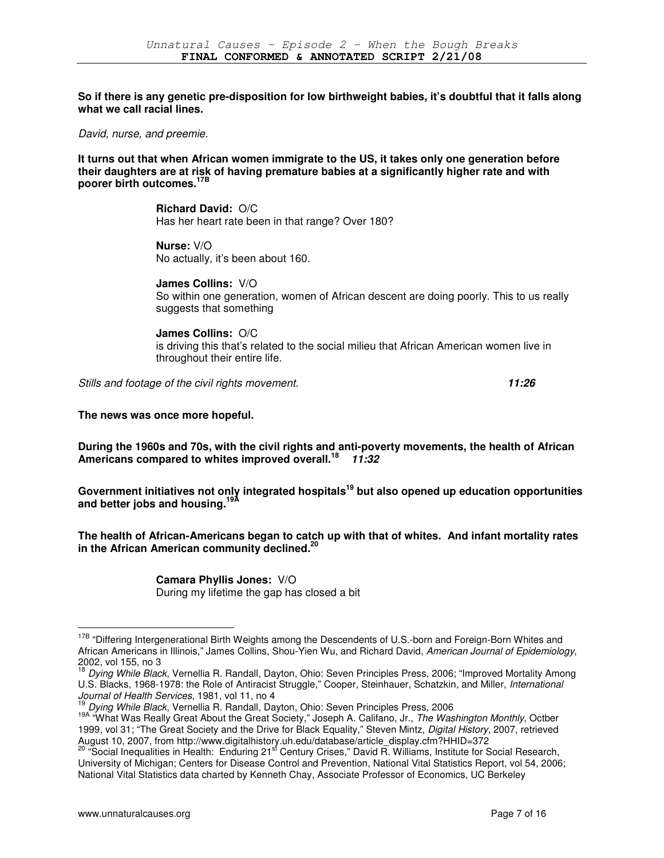**So if there is any genetic pre-disposition for low birthweight babies, it's doubtful that it falls along what we call racial lines.** 

David, nurse, and preemie.

**It turns out that when African women immigrate to the US, it takes only one generation before their daughters are at risk of having premature babies at a significantly higher rate and with poorer birth outcomes.17B**

> **Richard David:** O/C Has her heart rate been in that range? Over 180?

**Nurse:** V/O No actually, it's been about 160.

**James Collins:** V/O So within one generation, women of African descent are doing poorly. This to us really suggests that something

## **James Collins:** O/C

is driving this that's related to the social milieu that African American women live in throughout their entire life.

Stills and footage of the civil rights movement. **11:26**

**The news was once more hopeful.** 

**During the 1960s and 70s, with the civil rights and anti-poverty movements, the health of African Americans compared to whites improved overall.<sup>18</sup> 11:32**

**Government initiatives not only integrated hospitals <sup>19</sup> but also opened up education opportunities and better jobs and housing.19A**

**The health of African-Americans began to catch up with that of whites. And infant mortality rates in the African American community declined.<sup>20</sup>**

> **Camara Phyllis Jones:** V/O During my lifetime the gap has closed a bit

<sup>&</sup>lt;sup>17B</sup> "Differing Intergenerational Birth Weights among the Descendents of U.S.-born and Foreign-Born Whites and African Americans in Illinois," James Collins, Shou-Yien Wu, and Richard David, American Journal of Epidemiology, 2002, vol 155, no 3

<sup>&</sup>lt;sup>18</sup> Dying While Black, Vernellia R. Randall, Dayton, Ohio: Seven Principles Press, 2006; "Improved Mortality Among U.S. Blacks, 1968-1978: the Role of Antiracist Struggle," Cooper, Steinhauer, Schatzkin, and Miller, International Journal of Health Services, 1981, vol 11, no 4

<sup>19</sup> Dying While Black, Vernellia R. Randall, Dayton, Ohio: Seven Principles Press, 2006

<sup>19</sup>A "What Was Really Great About the Great Society," Joseph A. Califano, Jr., The Washington Monthly, Octber 1999, vol 31; "The Great Society and the Drive for Black Equality," Steven Mintz, Digital History, 2007, retrieved August 10, 2007, from http://www.digitalhistory.uh.edu/database/article\_display.cfm?HHID=372

<sup>&</sup>lt;sup>20</sup> "Social Inequalities in Health: Enduring 21<sup>st</sup> Century Crises," David R. Williams, Institute for Social Research, University of Michigan; Centers for Disease Control and Prevention, National Vital Statistics Report, vol 54, 2006; National Vital Statistics data charted by Kenneth Chay, Associate Professor of Economics, UC Berkeley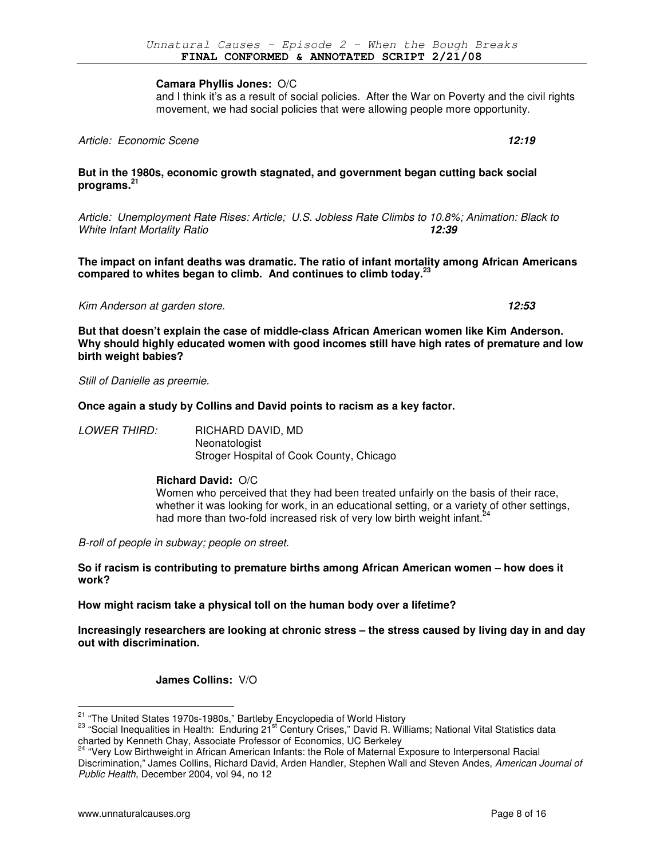#### **Camara Phyllis Jones:** O/C

and I think it's as a result of social policies. After the War on Poverty and the civil rights movement, we had social policies that were allowing people more opportunity.

Article: Economic Scene **12:19**

## **But in the 1980s, economic growth stagnated, and government began cutting back social programs.<sup>21</sup>**

Article: Unemployment Rate Rises: Article; U.S. Jobless Rate Climbs to 10.8%; Animation: Black to White Infant Mortality Ratio **12:39** 

**The impact on infant deaths was dramatic. The ratio of infant mortality among African Americans compared to whites began to climb. And continues to climb today.<sup>23</sup>**

Kim Anderson at garden store. **12:53** 

**But that doesn't explain the case of middle-class African American women like Kim Anderson. Why should highly educated women with good incomes still have high rates of premature and low birth weight babies?** 

Still of Danielle as preemie.

## **Once again a study by Collins and David points to racism as a key factor.**

LOWER THIRD: RICHARD DAVID, MD **Neonatologist** Stroger Hospital of Cook County, Chicago

## **Richard David:** O/C

Women who perceived that they had been treated unfairly on the basis of their race, whether it was looking for work, in an educational setting, or a variety of other settings, had more than two-fold increased risk of very low birth weight infant.<sup>24</sup>

B-roll of people in subway; people on street.

**So if racism is contributing to premature births among African American women – how does it work?** 

**How might racism take a physical toll on the human body over a lifetime?** 

**Increasingly researchers are looking at chronic stress – the stress caused by living day in and day out with discrimination.** 

**James Collins:** V/O

<sup>&</sup>lt;sup>21</sup> "The United States 1970s-1980s," Bartleby Encyclopedia of World History

<sup>&</sup>lt;sup>23</sup> "Social Inequalities in Health: Enduring 21<sup>st</sup> Century Crises," David R. Williams; National Vital Statistics data charted by Kenneth Chay, Associate Professor of Economics, UC Berkeley

<sup>&</sup>lt;sup>24</sup> "Very Low Birthweight in African American Infants: the Role of Maternal Exposure to Interpersonal Racial Discrimination," James Collins, Richard David, Arden Handler, Stephen Wall and Steven Andes, American Journal of Public Health, December 2004, vol 94, no 12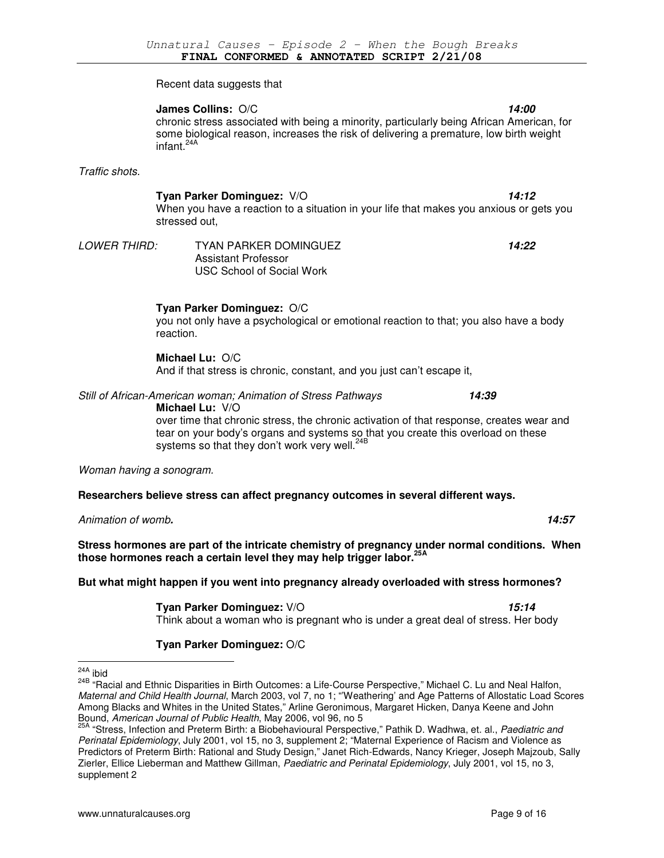Recent data suggests that

## **James Collins:** O/C **14:00**

chronic stress associated with being a minority, particularly being African American, for some biological reason, increases the risk of delivering a premature, low birth weight infant. $^2$ 

Traffic shots.

## **Tyan Parker Dominguez:** V/O **14:12**

When you have a reaction to a situation in your life that makes you anxious or gets you stressed out,

LOWER THIRD: TYAN PARKER DOMINGUEZ **14:22** Assistant Professor USC School of Social Work

**Tyan Parker Dominguez:** O/C

you not only have a psychological or emotional reaction to that; you also have a body reaction.

## **Michael Lu:** O/C

And if that stress is chronic, constant, and you just can't escape it,

Still of African-American woman; Animation of Stress Pathways **14:39**

**Michael Lu:** V/O

over time that chronic stress, the chronic activation of that response, creates wear and tear on your body's organs and systems so that you create this overload on these systems so that they don't work very well.<sup>24B</sup>

Woman having a sonogram.

**Researchers believe stress can affect pregnancy outcomes in several different ways.** 

Animation of womb**. 14:57** 

**Stress hormones are part of the intricate chemistry of pregnancy under normal conditions. When those hormones reach a certain level they may help trigger labor.25A**

## **But what might happen if you went into pregnancy already overloaded with stress hormones?**

**Tyan Parker Dominguez:** V/O **15:14** 

Think about a woman who is pregnant who is under a great deal of stress. Her body

## **Tyan Parker Dominguez:** O/C

 $\overline{a}$ 

24B "Racial and Ethnic Disparities in Birth Outcomes: a Life-Course Perspective," Michael C. Lu and Neal Halfon, Maternal and Child Health Journal, March 2003, vol 7, no 1; "'Weathering' and Age Patterns of Allostatic Load Scores Among Blacks and Whites in the United States," Arline Geronimous, Margaret Hicken, Danya Keene and John Bound, American Journal of Public Health, May 2006, vol 96, no 5

 $\frac{^{24A}}{10}$  ibid

<sup>&</sup>lt;sup>25A</sup> "Stress, Infection and Preterm Birth: a Biobehavioural Perspective," Pathik D. Wadhwa, et. al., Paediatric and Perinatal Epidemiology, July 2001, vol 15, no 3, supplement 2; "Maternal Experience of Racism and Violence as Predictors of Preterm Birth: Rational and Study Design," Janet Rich-Edwards, Nancy Krieger, Joseph Majzoub, Sally Zierler, Ellice Lieberman and Matthew Gillman, Paediatric and Perinatal Epidemiology, July 2001, vol 15, no 3, supplement 2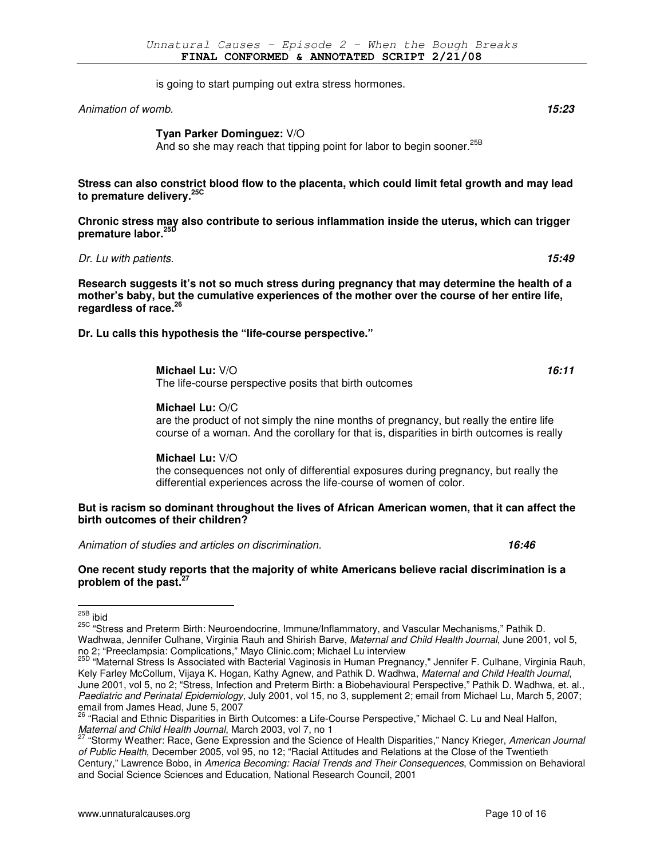is going to start pumping out extra stress hormones.

Animation of womb. **15:23** 

**Tyan Parker Dominguez:** V/O

And so she may reach that tipping point for labor to begin sooner.<sup>25B</sup>

**Stress can also constrict blood flow to the placenta, which could limit fetal growth and may lead to premature delivery.25C**

**Chronic stress may also contribute to serious inflammation inside the uterus, which can trigger premature labor.25D**

Dr. Lu with patients. **15:49**

**Research suggests it's not so much stress during pregnancy that may determine the health of a mother's baby, but the cumulative experiences of the mother over the course of her entire life, regardless of race.<sup>26</sup>**

**Dr. Lu calls this hypothesis the "life-course perspective."** 

**Michael Lu:** V/O **16:11**

The life-course perspective posits that birth outcomes

## **Michael Lu:** O/C

are the product of not simply the nine months of pregnancy, but really the entire life course of a woman. And the corollary for that is, disparities in birth outcomes is really

## **Michael Lu:** V/O

the consequences not only of differential exposures during pregnancy, but really the differential experiences across the life-course of women of color.

## **But is racism so dominant throughout the lives of African American women, that it can affect the birth outcomes of their children?**

Animation of studies and articles on discrimination. **16:46** 

#### **One recent study reports that the majority of white Americans believe racial discrimination is a problem of the past.<sup>27</sup>**

<sup>&</sup>lt;sup>25B</sup> ibid

<sup>25</sup>C "Stress and Preterm Birth: Neuroendocrine, Immune/Inflammatory, and Vascular Mechanisms," Pathik D. Wadhwaa, Jennifer Culhane, Virginia Rauh and Shirish Barve, Maternal and Child Health Journal, June 2001, vol 5, no 2; "Preeclampsia: Complications," Mayo Clinic.com; Michael Lu interview

<sup>25</sup>D "Maternal Stress Is Associated with Bacterial Vaginosis in Human Pregnancy," Jennifer F. Culhane, Virginia Rauh, Kely Farley McCollum, Vijaya K. Hogan, Kathy Agnew, and Pathik D. Wadhwa, Maternal and Child Health Journal, June 2001, vol 5, no 2; "Stress, Infection and Preterm Birth: a Biobehavioural Perspective," Pathik D. Wadhwa, et. al., Paediatric and Perinatal Epidemiology, July 2001, vol 15, no 3, supplement 2; email from Michael Lu, March 5, 2007; email from James Head, June 5, 2007

<sup>26</sup> "Racial and Ethnic Disparities in Birth Outcomes: a Life-Course Perspective," Michael C. Lu and Neal Halfon, Maternal and Child Health Journal, March 2003, vol 7, no 1

<sup>&</sup>lt;sup>27</sup> "Stormy Weather: Race, Gene Expression and the Science of Health Disparities," Nancy Krieger, American Journal of Public Health, December 2005, vol 95, no 12; "Racial Attitudes and Relations at the Close of the Twentieth Century," Lawrence Bobo, in America Becoming: Racial Trends and Their Consequences, Commission on Behavioral and Social Science Sciences and Education, National Research Council, 2001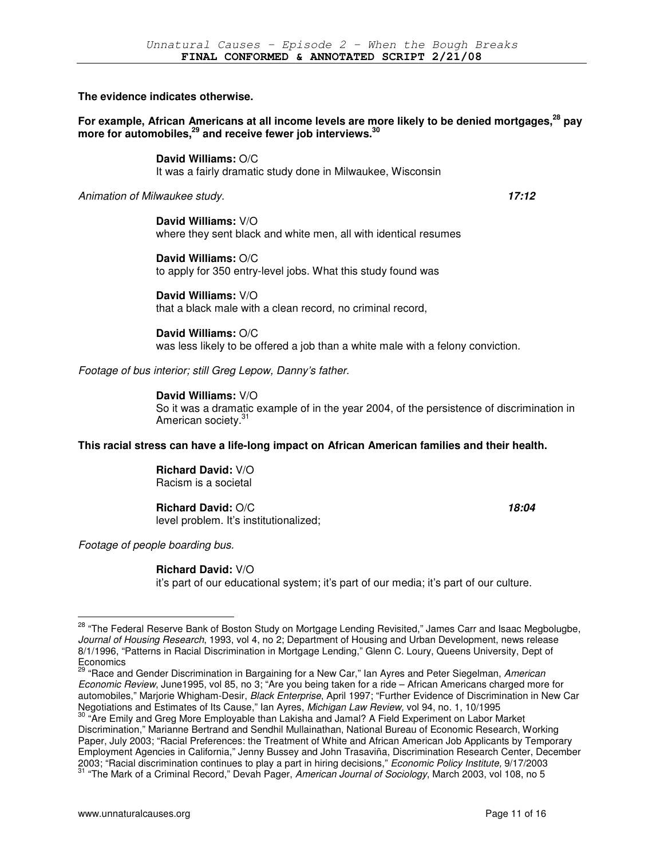**The evidence indicates otherwise.** 

**For example, African Americans at all income levels are more likely to be denied mortgages,<sup>28</sup> pay more for automobiles,<sup>29</sup> and receive fewer job interviews.<sup>30</sup>**

> **David Williams:** O/C It was a fairly dramatic study done in Milwaukee, Wisconsin

Animation of Milwaukee study. **17:12**

**David Williams:** V/O where they sent black and white men, all with identical resumes

**David Williams:** O/C to apply for 350 entry-level jobs. What this study found was

**David Williams:** V/O that a black male with a clean record, no criminal record,

**David Williams:** O/C was less likely to be offered a job than a white male with a felony conviction.

Footage of bus interior; still Greg Lepow, Danny's father.

**David Williams:** V/O

So it was a dramatic example of in the year 2004, of the persistence of discrimination in American society.<sup>31</sup>

**This racial stress can have a life-long impact on African American families and their health.** 

**Richard David:** V/O Racism is a societal

## **Richard David:**  $O/C$  **18:04**

level problem. It's institutionalized;

Footage of people boarding bus.

 $\overline{a}$ 

## **Richard David:** V/O

it's part of our educational system; it's part of our media; it's part of our culture.

<sup>29</sup> "Race and Gender Discrimination in Bargaining for a New Car," Ian Ayres and Peter Siegelman, American Economic Review, June1995, vol 85, no 3; "Are you being taken for a ride – African Americans charged more for automobiles," Marjorie Whigham-Desir, Black Enterprise, April 1997; "Further Evidence of Discrimination in New Car Negotiations and Estimates of Its Cause," Ian Ayres, Michigan Law Review, vol 94, no. 1, 10/1995

<sup>&</sup>lt;sup>28</sup> "The Federal Reserve Bank of Boston Study on Mortgage Lending Revisited," James Carr and Isaac Megbolugbe, Journal of Housing Research, 1993, vol 4, no 2; Department of Housing and Urban Development, news release 8/1/1996, "Patterns in Racial Discrimination in Mortgage Lending," Glenn C. Loury, Queens University, Dept of **Economics** 

<sup>30</sup> "Are Emily and Greg More Employable than Lakisha and Jamal? A Field Experiment on Labor Market Discrimination," Marianne Bertrand and Sendhil Mullainathan, National Bureau of Economic Research, Working Paper, July 2003; "Racial Preferences: the Treatment of White and African American Job Applicants by Temporary Employment Agencies in California," Jenny Bussey and John Trasaviña, Discrimination Research Center, December 2003; "Racial discrimination continues to play a part in hiring decisions," Economic Policy Institute, 9/17/2003 <sup>31</sup> "The Mark of a Criminal Record," Devah Pager, American Journal of Sociology, March 2003, vol 108, no 5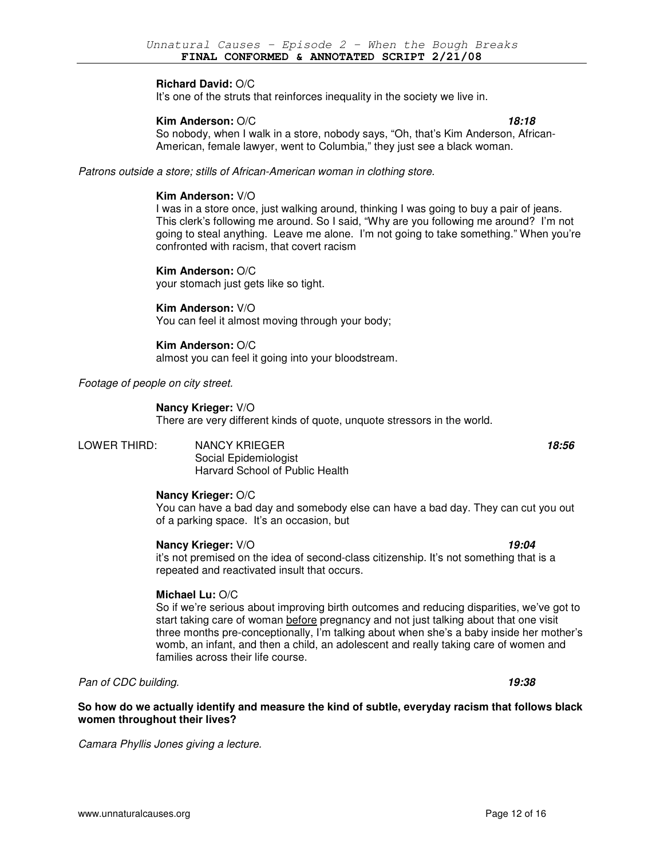## **Richard David:** O/C

It's one of the struts that reinforces inequality in the society we live in.

## **Kim Anderson:**  $O/C$  **18:18**

So nobody, when I walk in a store, nobody says, "Oh, that's Kim Anderson, African-American, female lawyer, went to Columbia," they just see a black woman.

Patrons outside a store; stills of African-American woman in clothing store.

## **Kim Anderson:** V/O

I was in a store once, just walking around, thinking I was going to buy a pair of jeans. This clerk's following me around. So I said, "Why are you following me around? I'm not going to steal anything. Leave me alone. I'm not going to take something." When you're confronted with racism, that covert racism

**Kim Anderson:** O/C your stomach just gets like so tight.

#### **Kim Anderson:** V/O

You can feel it almost moving through your body;

## **Kim Anderson:** O/C

almost you can feel it going into your bloodstream.

Footage of people on city street.

#### **Nancy Krieger:** V/O

There are very different kinds of quote, unquote stressors in the world.

LOWER THIRD: NANCY KRIEGER **18:56** Social Epidemiologist Harvard School of Public Health

## **Nancy Krieger:** O/C

You can have a bad day and somebody else can have a bad day. They can cut you out of a parking space. It's an occasion, but

#### **Nancy Krieger:**  $V/O$  **19:04**

it's not premised on the idea of second-class citizenship. It's not something that is a repeated and reactivated insult that occurs.

## **Michael Lu:** O/C

So if we're serious about improving birth outcomes and reducing disparities, we've got to start taking care of woman before pregnancy and not just talking about that one visit three months pre-conceptionally, I'm talking about when she's a baby inside her mother's womb, an infant, and then a child, an adolescent and really taking care of women and families across their life course.

Pan of CDC building. **19:38** 

**So how do we actually identify and measure the kind of subtle, everyday racism that follows black women throughout their lives?** 

Camara Phyllis Jones giving a lecture.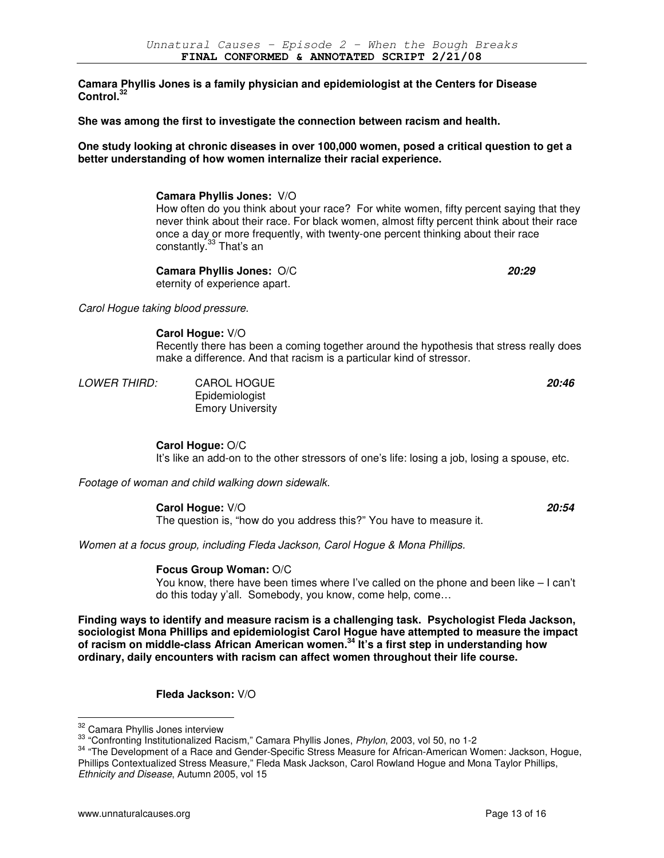**Camara Phyllis Jones is a family physician and epidemiologist at the Centers for Disease Control.<sup>32</sup>**

**She was among the first to investigate the connection between racism and health.** 

**One study looking at chronic diseases in over 100,000 women, posed a critical question to get a better understanding of how women internalize their racial experience.** 

> **Camara Phyllis Jones:** V/O How often do you think about your race? For white women, fifty percent saying that they never think about their race. For black women, almost fifty percent think about their race once a day or more frequently, with twenty-one percent thinking about their race constantly.<sup>33</sup> That's an

**Camara Phyllis Jones:** O/C **20:29** eternity of experience apart.

Carol Hogue taking blood pressure.

**Carol Hogue:** V/O

Recently there has been a coming together around the hypothesis that stress really does make a difference. And that racism is a particular kind of stressor.

LOWER THIRD: CAROL HOGUE **20:46**

Epidemiologist Emory University

**Carol Hogue:** O/C

It's like an add-on to the other stressors of one's life: losing a job, losing a spouse, etc.

Footage of woman and child walking down sidewalk.

**Carol Hogue:** V/O **20:54**

The question is, "how do you address this?" You have to measure it.

Women at a focus group, including Fleda Jackson, Carol Hogue & Mona Phillips.

## **Focus Group Woman:** O/C

You know, there have been times where I've called on the phone and been like – I can't do this today y'all. Somebody, you know, come help, come…

**Finding ways to identify and measure racism is a challenging task. Psychologist Fleda Jackson, sociologist Mona Phillips and epidemiologist Carol Hogue have attempted to measure the impact of racism on middle-class African American women.<sup>34</sup> It's a first step in understanding how ordinary, daily encounters with racism can affect women throughout their life course.** 

**Fleda Jackson:** V/O

<sup>&</sup>lt;sup>32</sup> Camara Phyllis Jones interview

<sup>33 &</sup>quot;Confronting Institutionalized Racism," Camara Phyllis Jones, Phylon, 2003, vol 50, no 1-2

<sup>&</sup>lt;sup>34</sup> "The Development of a Race and Gender-Specific Stress Measure for African-American Women: Jackson, Hogue, Phillips Contextualized Stress Measure," Fleda Mask Jackson, Carol Rowland Hogue and Mona Taylor Phillips, Ethnicity and Disease, Autumn 2005, vol 15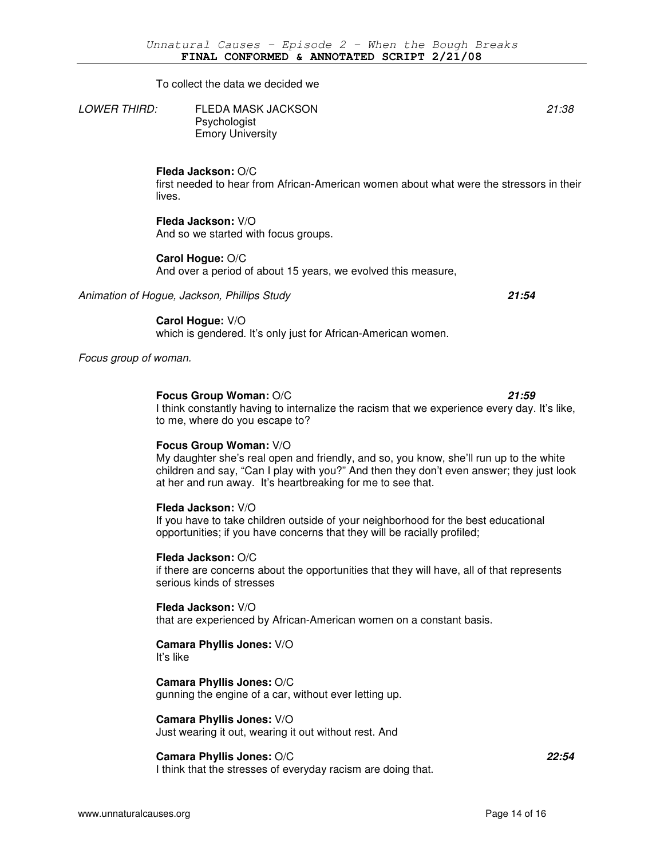To collect the data we decided we

LOWER THIRD: FLEDA MASK JACKSON 21:38 Psychologist Emory University

**Fleda Jackson:** O/C

first needed to hear from African-American women about what were the stressors in their lives.

#### **Fleda Jackson:** V/O

And so we started with focus groups.

## **Carol Hogue:** O/C

And over a period of about 15 years, we evolved this measure,

Animation of Hogue, Jackson, Phillips Study **21:54**

**Carol Hogue:** V/O which is gendered. It's only just for African-American women.

Focus group of woman.

#### **Focus Group Woman:** O/C **21:59**

I think constantly having to internalize the racism that we experience every day. It's like, to me, where do you escape to?

## **Focus Group Woman:** V/O

My daughter she's real open and friendly, and so, you know, she'll run up to the white children and say, "Can I play with you?" And then they don't even answer; they just look at her and run away. It's heartbreaking for me to see that.

## **Fleda Jackson:** V/O

If you have to take children outside of your neighborhood for the best educational opportunities; if you have concerns that they will be racially profiled;

#### **Fleda Jackson:** O/C

if there are concerns about the opportunities that they will have, all of that represents serious kinds of stresses

## **Fleda Jackson:** V/O

that are experienced by African-American women on a constant basis.

# **Camara Phyllis Jones:** V/O

It's like

### **Camara Phyllis Jones:** O/C gunning the engine of a car, without ever letting up.

**Camara Phyllis Jones:** V/O Just wearing it out, wearing it out without rest. And

## **Camara Phyllis Jones:** O/C **22:54**

I think that the stresses of everyday racism are doing that.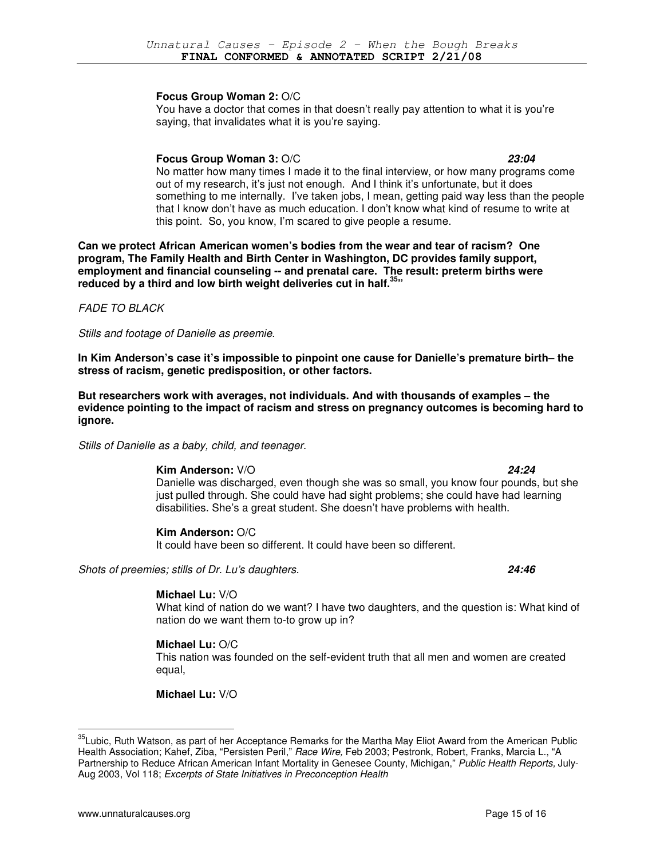## **Focus Group Woman 2:** O/C

You have a doctor that comes in that doesn't really pay attention to what it is you're saying, that invalidates what it is you're saying.

## **Focus Group Woman 3:** O/C **23:04**

No matter how many times I made it to the final interview, or how many programs come out of my research, it's just not enough. And I think it's unfortunate, but it does something to me internally. I've taken jobs, I mean, getting paid way less than the people that I know don't have as much education. I don't know what kind of resume to write at this point. So, you know, I'm scared to give people a resume.

**Can we protect African American women's bodies from the wear and tear of racism? One program, The Family Health and Birth Center in Washington, DC provides family support, employment and financial counseling -- and prenatal care. The result: preterm births were reduced by a third and low birth weight deliveries cut in half.<sup>35</sup>"** 

FADE TO BLACK

Stills and footage of Danielle as preemie.

**In Kim Anderson's case it's impossible to pinpoint one cause for Danielle's premature birth– the stress of racism, genetic predisposition, or other factors.** 

**But researchers work with averages, not individuals. And with thousands of examples – the evidence pointing to the impact of racism and stress on pregnancy outcomes is becoming hard to ignore.** 

Stills of Danielle as a baby, child, and teenager.

**Kim Anderson:** V/O **24:24** Danielle was discharged, even though she was so small, you know four pounds, but she just pulled through. She could have had sight problems; she could have had learning disabilities. She's a great student. She doesn't have problems with health.

## **Kim Anderson:** O/C

It could have been so different. It could have been so different.

Shots of preemies; stills of Dr. Lu's daughters. **24:46**

## **Michael Lu:** V/O

What kind of nation do we want? I have two daughters, and the question is: What kind of nation do we want them to-to grow up in?

## **Michael Lu:** O/C

This nation was founded on the self-evident truth that all men and women are created equal,

**Michael Lu:** V/O

<sup>&</sup>lt;sup>35</sup>Lubic. Ruth Watson, as part of her Acceptance Remarks for the Martha May Eliot Award from the American Public Health Association; Kahef, Ziba, "Persisten Peril," Race Wire, Feb 2003; Pestronk, Robert, Franks, Marcia L., "A Partnership to Reduce African American Infant Mortality in Genesee County, Michigan," Public Health Reports, July-Aug 2003, Vol 118; Excerpts of State Initiatives in Preconception Health